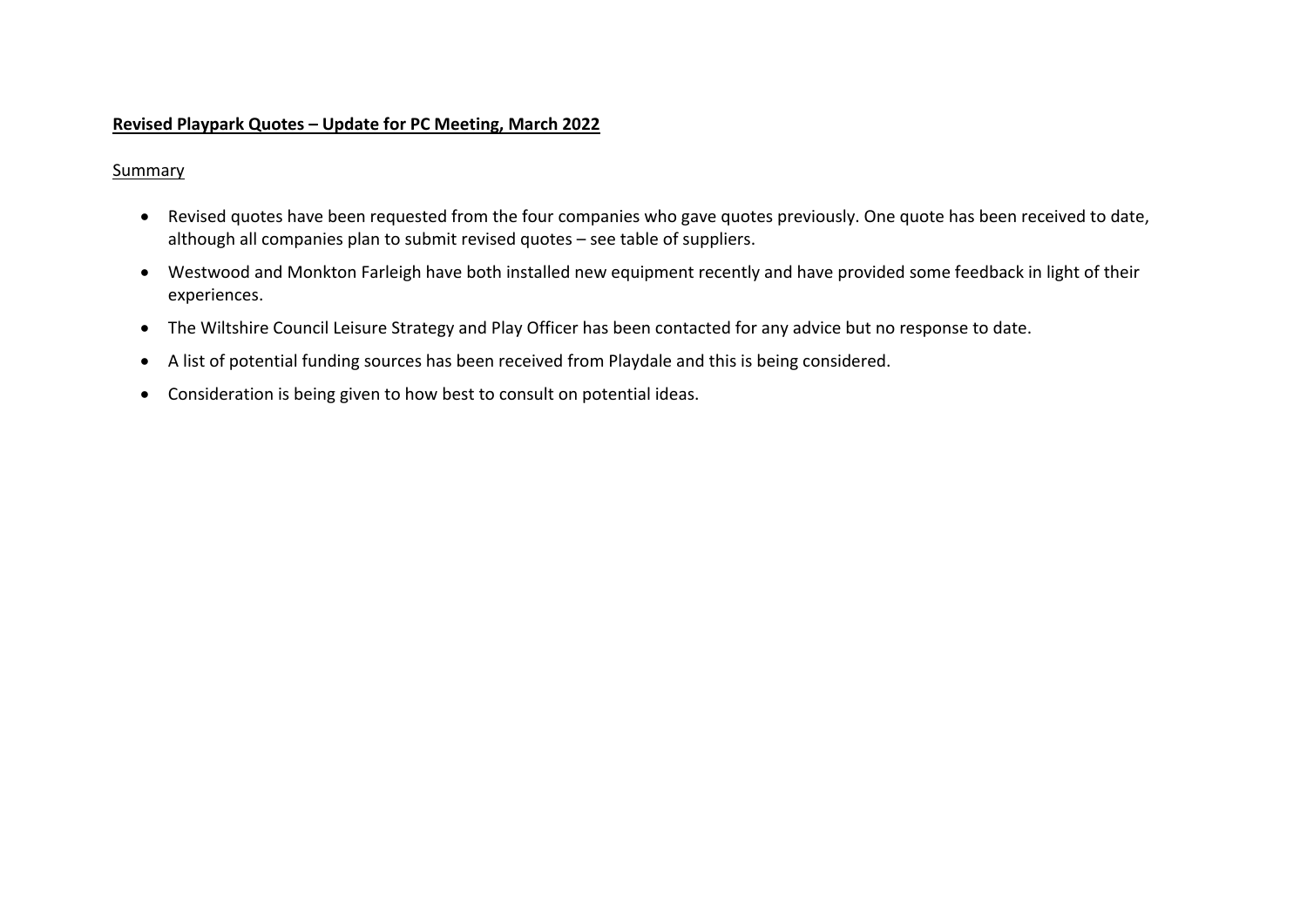#### **Revised Playpark Quotes – Update for PC Meeting, March 2022**

#### Summary

- Revised quotes have been requested from the four companies who gave quotes previously. One quote has been received to date, although all companies plan to submit revised quotes – see table of suppliers.
- Westwood and Monkton Farleigh have both installed new equipment recently and have provided some feedback in light of their experiences.
- The Wiltshire Council Leisure Strategy and Play Officer has been contacted for any advice but no response to date.
- A list of potential funding sources has been received from Playdale and this is being considered.
- Consideration is being given to how best to consult on potential ideas.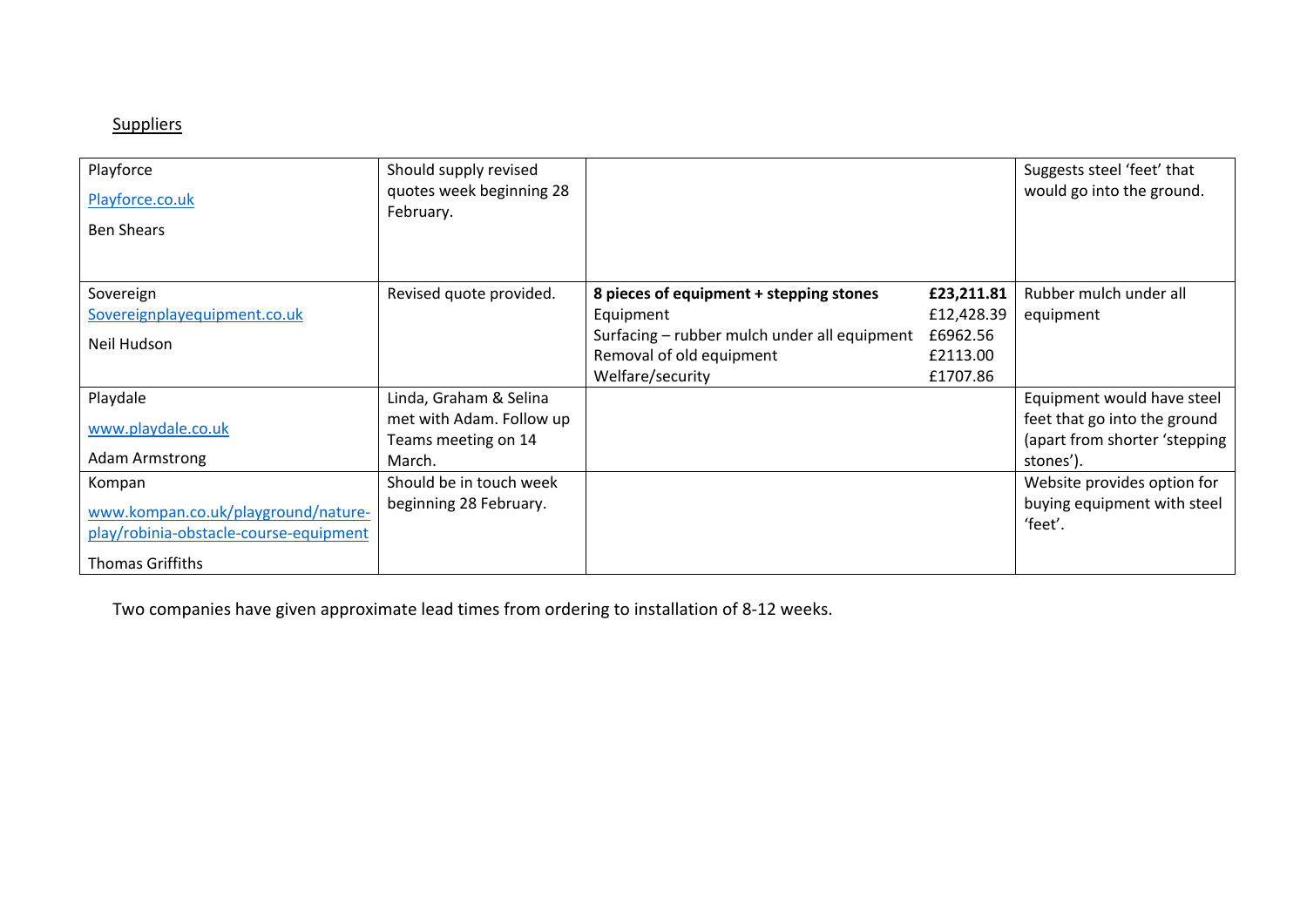# **Suppliers**

| Playforce<br>Playforce.co.uk           | Should supply revised<br>quotes week beginning 28 |                                              |            | Suggests steel 'feet' that<br>would go into the ground. |
|----------------------------------------|---------------------------------------------------|----------------------------------------------|------------|---------------------------------------------------------|
| <b>Ben Shears</b>                      | February.                                         |                                              |            |                                                         |
|                                        |                                                   |                                              |            |                                                         |
| Sovereign                              | Revised quote provided.                           | 8 pieces of equipment + stepping stones      | £23,211.81 | Rubber mulch under all                                  |
| Sovereignplayequipment.co.uk           |                                                   | Equipment                                    | £12,428.39 | equipment                                               |
| Neil Hudson                            |                                                   | Surfacing – rubber mulch under all equipment | £6962.56   |                                                         |
|                                        |                                                   | Removal of old equipment                     | £2113.00   |                                                         |
|                                        |                                                   | Welfare/security                             | £1707.86   |                                                         |
| Playdale                               | Linda, Graham & Selina                            |                                              |            | Equipment would have steel                              |
| www.playdale.co.uk                     | met with Adam. Follow up                          |                                              |            | feet that go into the ground                            |
|                                        | Teams meeting on 14                               |                                              |            | (apart from shorter 'stepping                           |
| <b>Adam Armstrong</b>                  | March.                                            |                                              |            | stones').                                               |
| Kompan                                 | Should be in touch week                           |                                              |            | Website provides option for                             |
| www.kompan.co.uk/playground/nature-    | beginning 28 February.                            |                                              |            | buying equipment with steel                             |
| play/robinia-obstacle-course-equipment |                                                   |                                              |            | 'feet'.                                                 |
| <b>Thomas Griffiths</b>                |                                                   |                                              |            |                                                         |

Two companies have given approximate lead times from ordering to installation of 8-12 weeks.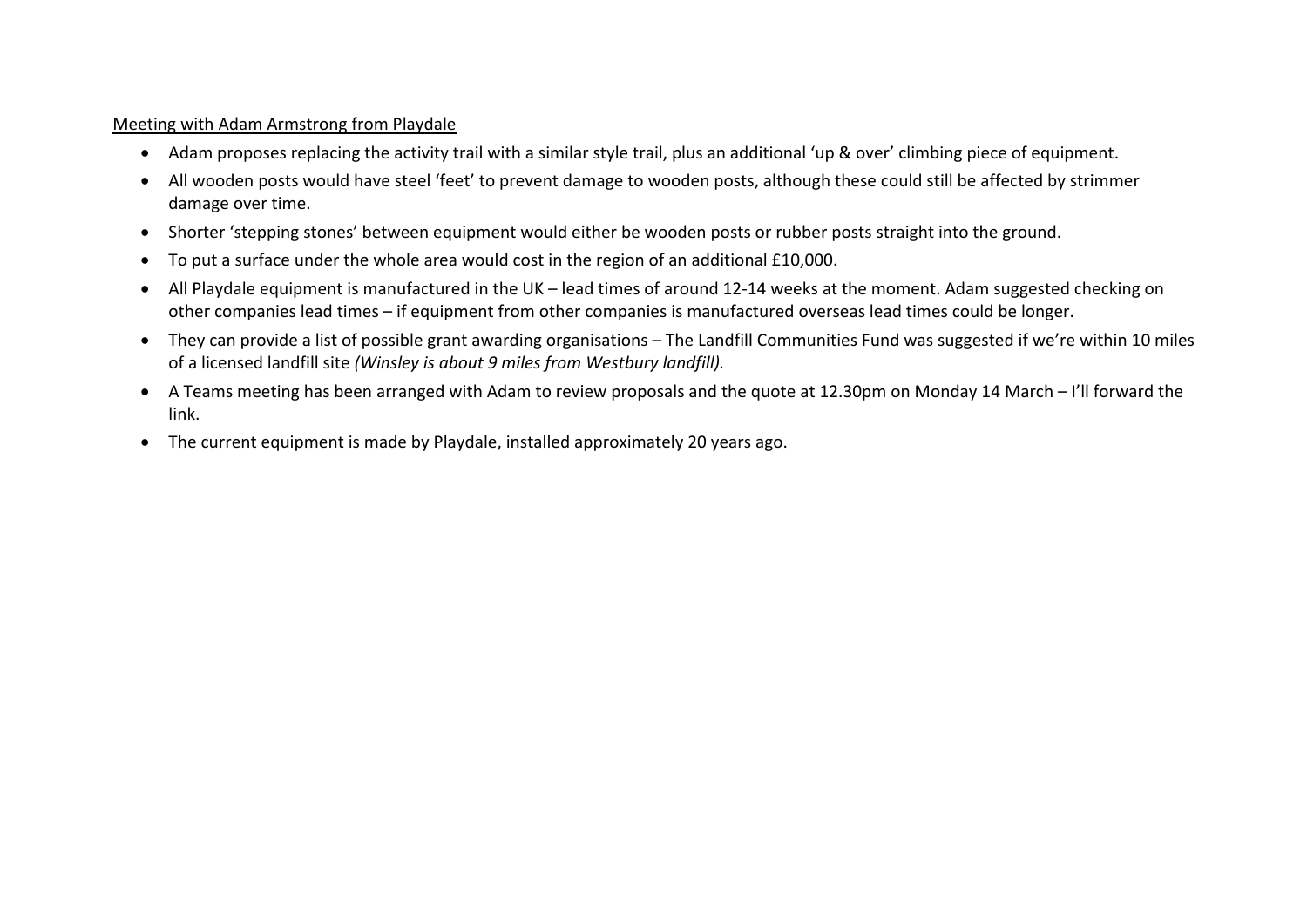#### Meeting with Adam Armstrong from Playdale

- Adam proposes replacing the activity trail with a similar style trail, plus an additional 'up & over' climbing piece of equipment.
- All wooden posts would have steel 'feet' to prevent damage to wooden posts, although these could still be affected by strimmer damage over time.
- Shorter 'stepping stones' between equipment would either be wooden posts or rubber posts straight into the ground.
- To put a surface under the whole area would cost in the region of an additional £10,000.
- All Playdale equipment is manufactured in the UK lead times of around 12-14 weeks at the moment. Adam suggested checking on other companies lead times – if equipment from other companies is manufactured overseas lead times could be longer.
- They can provide a list of possible grant awarding organisations The Landfill Communities Fund was suggested if we're within 10 miles of a licensed landfill site *(Winsley is about 9 miles from Westbury landfill).*
- A Teams meeting has been arranged with Adam to review proposals and the quote at 12.30pm on Monday 14 March I'll forward the link.
- The current equipment is made by Playdale, installed approximately 20 years ago.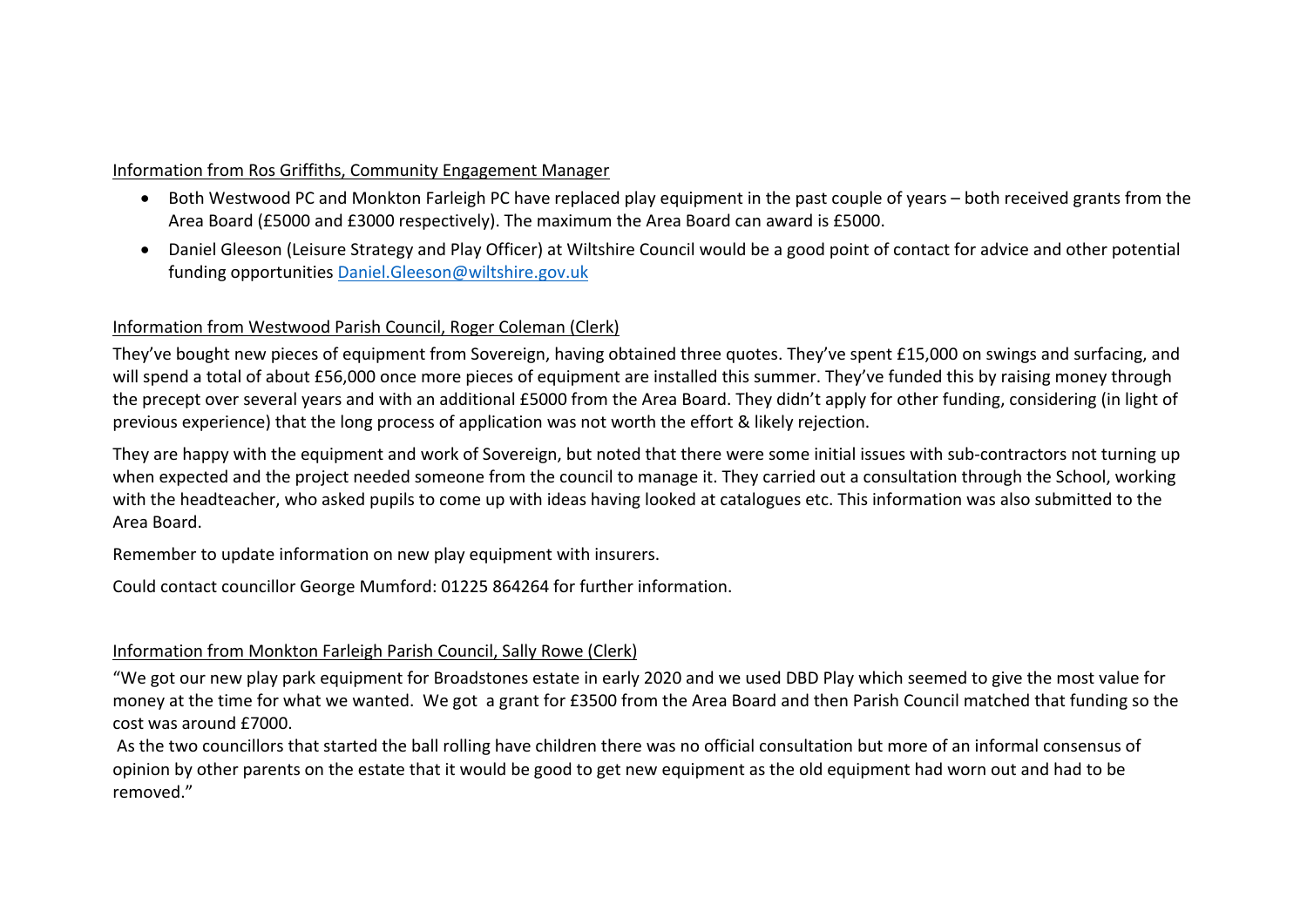### Information from Ros Griffiths, Community Engagement Manager

- Both Westwood PC and Monkton Farleigh PC have replaced play equipment in the past couple of years both received grants from the Area Board (£5000 and £3000 respectively). The maximum the Area Board can award is £5000.
- Daniel Gleeson (Leisure Strategy and Play Officer) at Wiltshire Council would be a good point of contact for advice and other potential funding opportunities Daniel.Gleeson@wiltshire.gov.uk

## Information from Westwood Parish Council, Roger Coleman (Clerk)

They've bought new pieces of equipment from Sovereign, having obtained three quotes. They've spent £15,000 on swings and surfacing, and will spend a total of about £56,000 once more pieces of equipment are installed this summer. They've funded this by raising money through the precept over several years and with an additional £5000 from the Area Board. They didn't apply for other funding, considering (in light of previous experience) that the long process of application was not worth the effort & likely rejection.

They are happy with the equipment and work of Sovereign, but noted that there were some initial issues with sub-contractors not turning up when expected and the project needed someone from the council to manage it. They carried out a consultation through the School, working with the headteacher, who asked pupils to come up with ideas having looked at catalogues etc. This information was also submitted to the Area Board.

Remember to update information on new play equipment with insurers.

Could contact councillor George Mumford: 01225 864264 for further information.

# Information from Monkton Farleigh Parish Council, Sally Rowe (Clerk)

"We got our new play park equipment for Broadstones estate in early 2020 and we used DBD Play which seemed to give the most value for money at the time for what we wanted. We got a grant for £3500 from the Area Board and then Parish Council matched that funding so the cost was around £7000.

As the two councillors that started the ball rolling have children there was no official consultation but more of an informal consensus of opinion by other parents on the estate that it would be good to get new equipment as the old equipment had worn out and had to be removed."